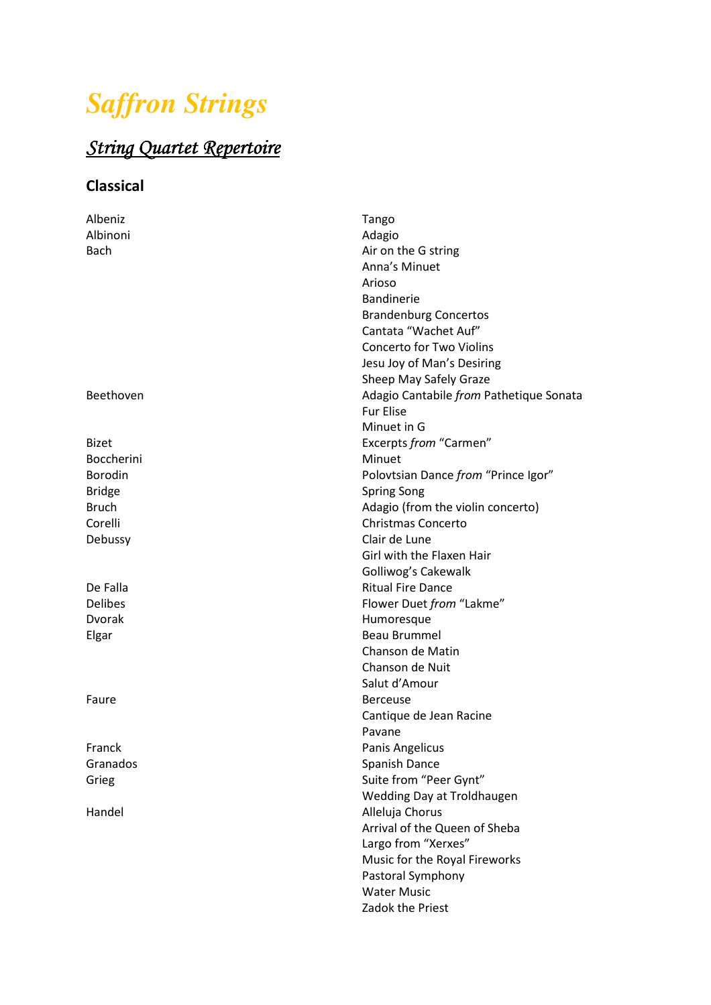# *Saffron Strings*

## *String Quartet Repertoire*

### **Classical**

| Albeniz           | Tango                                   |
|-------------------|-----------------------------------------|
| Albinoni          | Adagio                                  |
| <b>Bach</b>       | Air on the G string                     |
|                   | Anna's Minuet                           |
|                   | Arioso                                  |
|                   | <b>Bandinerie</b>                       |
|                   | <b>Brandenburg Concertos</b>            |
|                   | Cantata "Wachet Auf"                    |
|                   | <b>Concerto for Two Violins</b>         |
|                   | Jesu Joy of Man's Desiring              |
|                   | Sheep May Safely Graze                  |
| Beethoven         | Adagio Cantabile from Pathetique Sonata |
|                   | <b>Fur Elise</b>                        |
|                   | Minuet in G                             |
| <b>Bizet</b>      | Excerpts from "Carmen"                  |
| <b>Boccherini</b> | Minuet                                  |
| Borodin           | Polovtsian Dance from "Prince Igor"     |
| <b>Bridge</b>     | <b>Spring Song</b>                      |
| <b>Bruch</b>      | Adagio (from the violin concerto)       |
| Corelli           | <b>Christmas Concerto</b>               |
| Debussy           | Clair de Lune                           |
|                   | Girl with the Flaxen Hair               |
|                   | Golliwog's Cakewalk                     |
| De Falla          | <b>Ritual Fire Dance</b>                |
| <b>Delibes</b>    | Flower Duet from "Lakme"                |
| Dvorak            | Humoresque                              |
| Elgar             | <b>Beau Brummel</b>                     |
|                   | Chanson de Matin                        |
|                   | Chanson de Nuit                         |
|                   | Salut d'Amour                           |
| Faure             | <b>Berceuse</b>                         |
|                   | Cantique de Jean Racine                 |
|                   | Pavane                                  |
| Franck            | Panis Angelicus                         |
| Granados          | Spanish Dance                           |
| Grieg             | Suite from "Peer Gynt"                  |
|                   | Wedding Day at Troldhaugen              |
| Handel            | Alleluja Chorus                         |
|                   | Arrival of the Queen of Sheba           |
|                   | Largo from "Xerxes"                     |
|                   | Music for the Royal Fireworks           |
|                   | Pastoral Symphony                       |
|                   | <b>Water Music</b>                      |
|                   | Zadok the Priest                        |
|                   |                                         |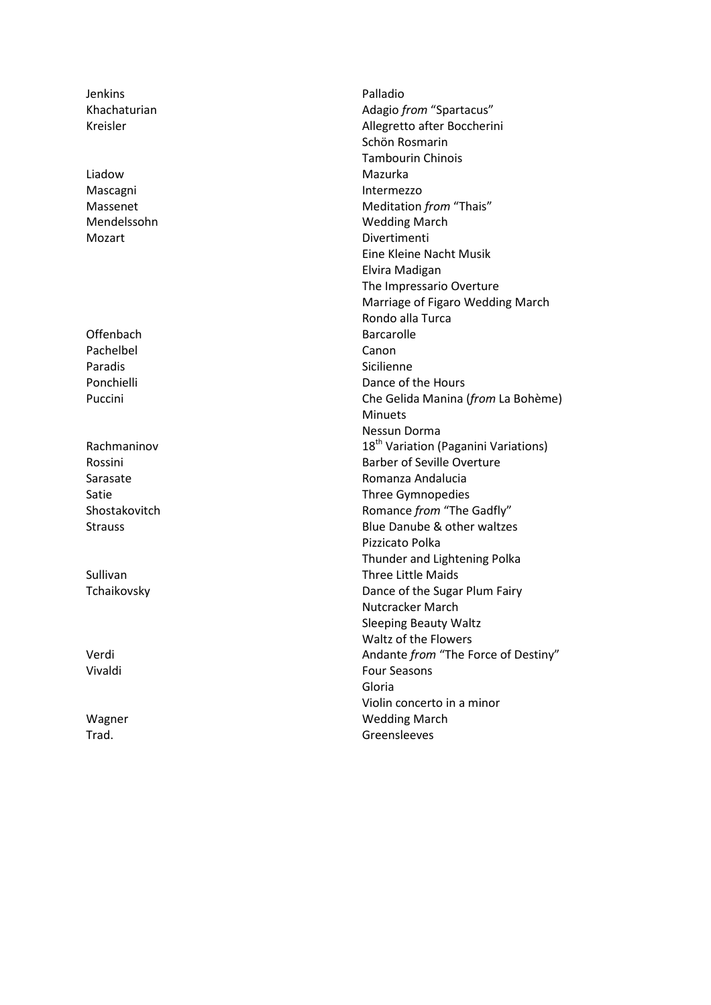Jenkins Palladio

Liadow Mazurka Mascagni **Intermezzo** Mozart Divertimenti

Pachelbel Canon Paradis **Sicilienne** 

Khachaturian **Adagio** *from* "Spartacus" Kreisler **Allegretto after Boccherini** Schön Rosmarin Tambourin Chinois Massenet Meditation *from* "Thais" Mendelssohn Wedding March Eine Kleine Nacht Musik Elvira Madigan The Impressario Overture Marriage of Figaro Wedding March Rondo alla Turca Offenbach **Barcarolle** Ponchielli **Properties and Contract Contract Contract Contract Contract Contract Contract Contract Contract Contract Contract Contract Contract Contract Contract Contract Contract Contract Contract Contract Contract Contra** Puccini Che Gelida Manina (*from* La Bohème) Minuets Nessun Dorma Rachmaninov **18<sup>th</sup>** Variation (Paganini Variations) Rossini **Barber of Seville Overture** Sarasate **Romanza Andalucia** Satie **Three Gymnopedies** Shostakovitch **Romance** *from* "The Gadfly" Strauss Blue Danube & other waltzes Pizzicato Polka Thunder and Lightening Polka Sullivan **Three Little Maids** Tchaikovsky **Dance of the Sugar Plum Fairy** Nutcracker March Sleeping Beauty Waltz Waltz of the Flowers Verdi Andante *from* "The Force of Destiny" Vivaldi **Four Seasons** Gloria Violin concerto in a minor Wagner Wedding March Trad. Greensleeves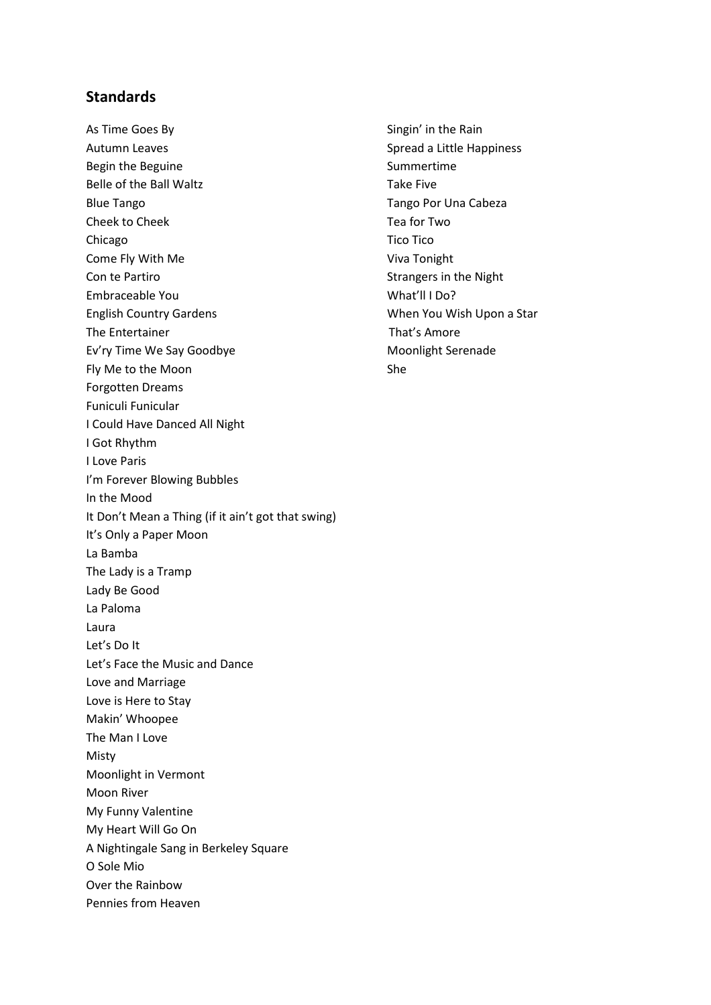#### **Standards**

As Time Goes By Singin' in the Rain Autumn Leaves **Spread a Little Happiness** Spread a Little Happiness Begin the Beguine Summertime Belle of the Ball Waltz **Take Five** Take Five Blue Tango **Tango Por Una Cabeza** Cheek to Cheek The Cheek Tea for Two Cheek Tea for Two Tea for Two Tea for Two Tea for Two Tea for Two Tea for Chicago Tico Tico Come Fly With Me Viva Tonight Con te Partiro **Strangers** in the Night Embraceable You What'll I Do? English Country Gardens When You Wish Upon a Star The Entertainer That's Amore Ev'ry Time We Say Goodbye Moonlight Serenade Fly Me to the Moon She Forgotten Dreams Funiculi Funicular I Could Have Danced All Night I Got Rhythm I Love Paris I'm Forever Blowing Bubbles In the Mood It Don't Mean a Thing (if it ain't got that swing) It's Only a Paper Moon La Bamba The Lady is a Tramp Lady Be Good La Paloma Laura Let's Do It Let's Face the Music and Dance Love and Marriage Love is Here to Stay Makin' Whoopee The Man I Love Misty Moonlight in Vermont Moon River My Funny Valentine My Heart Will Go On A Nightingale Sang in Berkeley Square O Sole Mio Over the Rainbow Pennies from Heaven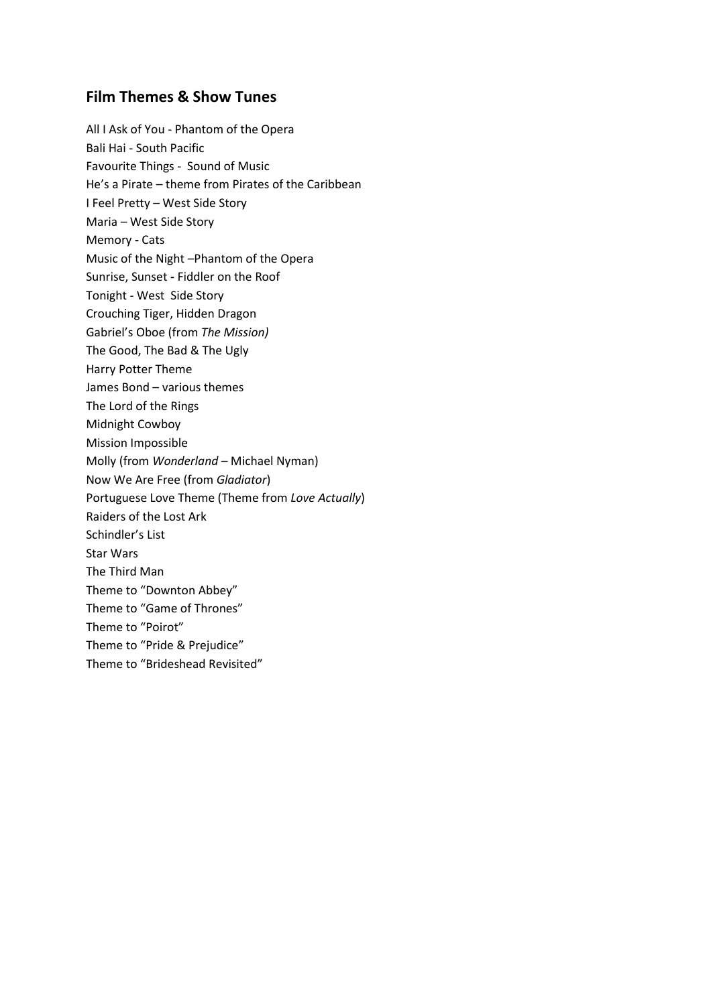#### **Film Themes & Show Tunes**

All I Ask of You - Phantom of the Opera Bali Hai - South Pacific Favourite Things - Sound of Music He's a Pirate – theme from Pirates of the Caribbean I Feel Pretty – West Side Story Maria – West Side Story Memory **-** Cats Music of the Night –Phantom of the Opera Sunrise, Sunset **-** Fiddler on the Roof Tonight - West Side Story Crouching Tiger, Hidden Dragon Gabriel's Oboe (from *The Mission)* The Good, The Bad & The Ugly Harry Potter Theme James Bond – various themes The Lord of the Rings Midnight Cowboy Mission Impossible Molly (from *Wonderland* – Michael Nyman) Now We Are Free (from *Gladiator*) Portuguese Love Theme (Theme from *Love Actually*) Raiders of the Lost Ark Schindler's List Star Wars The Third Man Theme to "Downton Abbey" Theme to "Game of Thrones" Theme to "Poirot" Theme to "Pride & Prejudice" Theme to "Brideshead Revisited"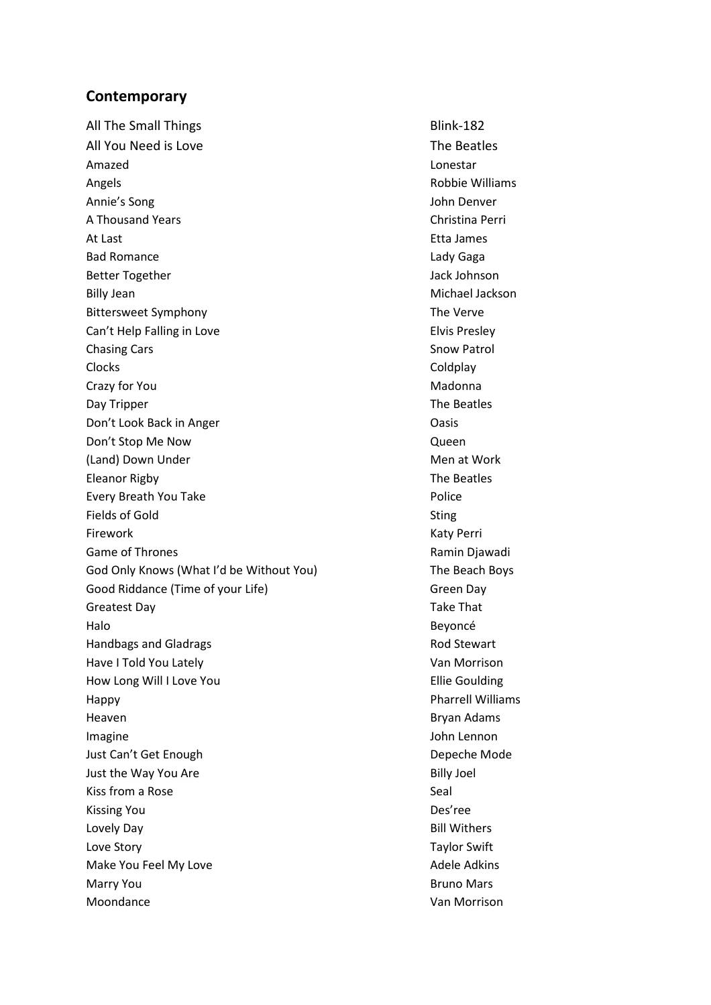#### **Contemporary**

All The Small Things and the Small Things and the Small Things and the Blink-182 All You Need is Love The Beatles Amazed Lonestar Angels Robbie Williams Annie's Song **Internal Community** Community Song John Denver A Thousand Years Christina Perri At Last **At Last** Etta James **Contract At Last** Etta James **Contract At Last** Etta James **Contract At Last** Etta James **Contract At Last** Etta James **Contract At Last** Etta James **Contract At Last** Etta James **Contract At** Bad Romance **Lady Gaga** Better Together American Controllering and the United States of the United States and Jack Johnson Billy Jean Michael Jackson Bittersweet Symphony The Verve Can't Help Falling in Love Elvis Presley Chasing Cars **Snow Patrol** Clocks Coldplay Crazy for You **Madonna** Day Tripper The Beatles Don't Look Back in Anger **Oasis** Oasis Don't Stop Me Now **Queen** (Land) Down Under Men at Work Eleanor Rigby **The Beatles** Every Breath You Take **Police** Police Fields of Gold Sting Sting Sting Sting Sting Sting Sting Sting Sting Sting Sting Sting Sting Sting Sting Sting Firework **Katy Perri** Katy Perri Game of Thrones **Ramin Djawadi** God Only Knows (What I'd be Without You) The Beach Boys Good Riddance (Time of your Life) Green Day Greatest Day **Take That** Halo Beyoncé Handbags and Gladrags **Rod Stewart** Rod Stewart Have I Told You Lately National Control of National Van Morrison How Long Will I Love You **Ellie Goulding** Happy Pharrell Williams Heaven **Bryan Adams** Imagine **Imagine** John Lennon Just Can't Get Enough Depeche Mode Just the Way You Are **Billy Joel** Kiss from a Rose Seal Kissing You Des'ree Lovely Day **Bill Withers** Love Story Taylor Swift Make You Feel My Love **Adele Adkins** Make You Feel My Love Marry You **Bruno Mars** Moondance Van Morrison